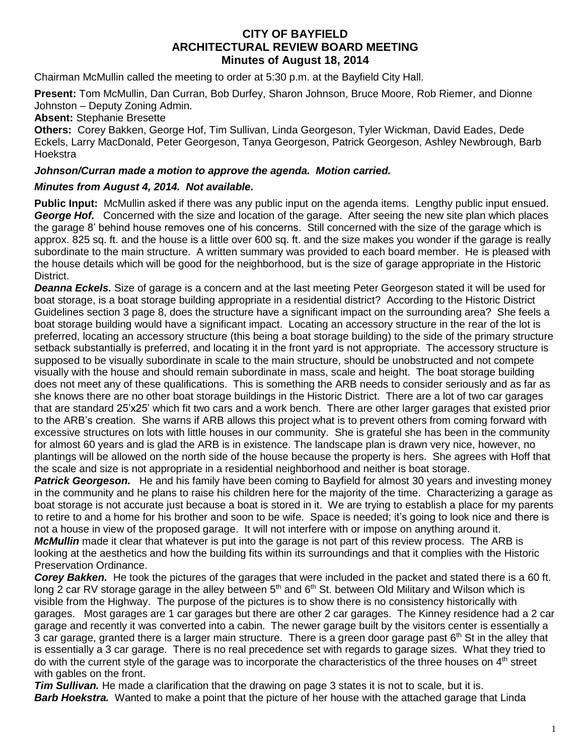# **CITY OF BAYFIELD ARCHITECTURAL REVIEW BOARD MEETING Minutes of August 18, 2014**

Chairman McMullin called the meeting to order at 5:30 p.m. at the Bayfield City Hall.

**Present:** Tom McMullin, Dan Curran, Bob Durfey, Sharon Johnson, Bruce Moore, Rob Riemer, and Dionne Johnston – Deputy Zoning Admin.

## **Absent:** Stephanie Bresette

**Others:** Corey Bakken, George Hof, Tim Sullivan, Linda Georgeson, Tyler Wickman, David Eades, Dede Eckels, Larry MacDonald, Peter Georgeson, Tanya Georgeson, Patrick Georgeson, Ashley Newbrough, Barb **Hoekstra** 

#### *Johnson/Curran made a motion to approve the agenda. Motion carried.*

## *Minutes from August 4, 2014. Not available.*

**Public Input:** McMullin asked if there was any public input on the agenda items. Lengthy public input ensued. *George Hof.* Concerned with the size and location of the garage. After seeing the new site plan which places the garage 8' behind house removes one of his concerns. Still concerned with the size of the garage which is approx. 825 sq. ft. and the house is a little over 600 sq. ft. and the size makes you wonder if the garage is really subordinate to the main structure. A written summary was provided to each board member. He is pleased with the house details which will be good for the neighborhood, but is the size of garage appropriate in the Historic District.

*Deanna Eckels.* Size of garage is a concern and at the last meeting Peter Georgeson stated it will be used for boat storage, is a boat storage building appropriate in a residential district? According to the Historic District Guidelines section 3 page 8, does the structure have a significant impact on the surrounding area? She feels a boat storage building would have a significant impact. Locating an accessory structure in the rear of the lot is preferred, locating an accessory structure (this being a boat storage building) to the side of the primary structure setback substantially is preferred, and locating it in the front yard is not appropriate. The accessory structure is supposed to be visually subordinate in scale to the main structure, should be unobstructed and not compete visually with the house and should remain subordinate in mass, scale and height. The boat storage building does not meet any of these qualifications. This is something the ARB needs to consider seriously and as far as she knows there are no other boat storage buildings in the Historic District. There are a lot of two car garages that are standard 25'x25' which fit two cars and a work bench. There are other larger garages that existed prior to the ARB's creation. She warns if ARB allows this project what is to prevent others from coming forward with excessive structures on lots with little houses in our community. She is grateful she has been in the community for almost 60 years and is glad the ARB is in existence. The landscape plan is drawn very nice, however, no plantings will be allowed on the north side of the house because the property is hers. She agrees with Hoff that the scale and size is not appropriate in a residential neighborhood and neither is boat storage.

*Patrick Georgeson.* He and his family have been coming to Bayfield for almost 30 years and investing money in the community and he plans to raise his children here for the majority of the time. Characterizing a garage as boat storage is not accurate just because a boat is stored in it. We are trying to establish a place for my parents to retire to and a home for his brother and soon to be wife. Space is needed; it's going to look nice and there is not a house in view of the proposed garage. It will not interfere with or impose on anything around it.

*McMullin* made it clear that whatever is put into the garage is not part of this review process. The ARB is looking at the aesthetics and how the building fits within its surroundings and that it complies with the Historic Preservation Ordinance.

*Corey Bakken.* He took the pictures of the garages that were included in the packet and stated there is a 60 ft. long 2 car RV storage garage in the alley between 5<sup>th</sup> and 6<sup>th</sup> St. between Old Military and Wilson which is visible from the Highway. The purpose of the pictures is to show there is no consistency historically with garages. Most garages are 1 car garages but there are other 2 car garages. The Kinney residence had a 2 car garage and recently it was converted into a cabin. The newer garage built by the visitors center is essentially a 3 car garage, granted there is a larger main structure. There is a green door garage past  $6<sup>th</sup>$  St in the alley that is essentially a 3 car garage. There is no real precedence set with regards to garage sizes. What they tried to do with the current style of the garage was to incorporate the characteristics of the three houses on 4<sup>th</sup> street with gables on the front.

*Tim Sullivan.* He made a clarification that the drawing on page 3 states it is not to scale, but it is. *Barb Hoekstra.* Wanted to make a point that the picture of her house with the attached garage that Linda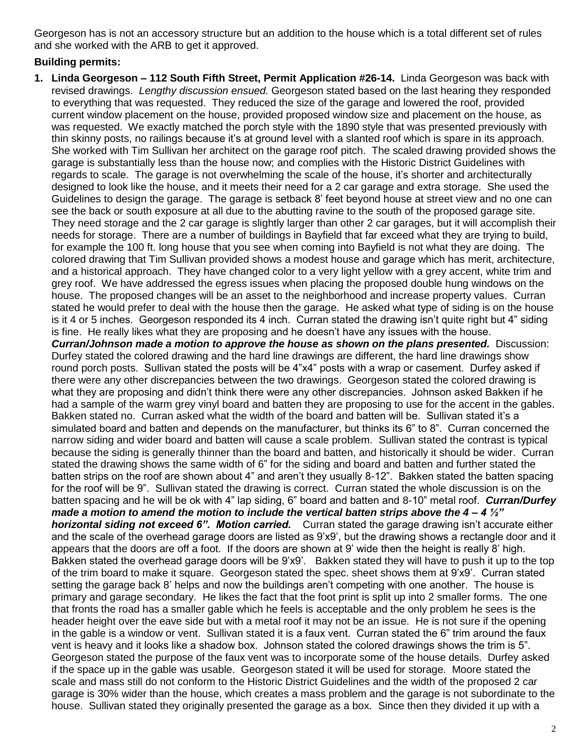Georgeson has is not an accessory structure but an addition to the house which is a total different set of rules and she worked with the ARB to get it approved.

# **Building permits:**

**1. Linda Georgeson – 112 South Fifth Street, Permit Application #26-14.** Linda Georgeson was back with revised drawings. *Lengthy discussion ensued.* Georgeson stated based on the last hearing they responded to everything that was requested. They reduced the size of the garage and lowered the roof, provided current window placement on the house, provided proposed window size and placement on the house, as was requested. We exactly matched the porch style with the 1890 style that was presented previously with thin skinny posts, no railings because it's at ground level with a slanted roof which is spare in its approach. She worked with Tim Sullivan her architect on the garage roof pitch. The scaled drawing provided shows the garage is substantially less than the house now; and complies with the Historic District Guidelines with regards to scale. The garage is not overwhelming the scale of the house, it's shorter and architecturally designed to look like the house, and it meets their need for a 2 car garage and extra storage. She used the Guidelines to design the garage. The garage is setback 8' feet beyond house at street view and no one can see the back or south exposure at all due to the abutting ravine to the south of the proposed garage site. They need storage and the 2 car garage is slightly larger than other 2 car garages, but it will accomplish their needs for storage. There are a number of buildings in Bayfield that far exceed what they are trying to build, for example the 100 ft. long house that you see when coming into Bayfield is not what they are doing. The colored drawing that Tim Sullivan provided shows a modest house and garage which has merit, architecture, and a historical approach. They have changed color to a very light yellow with a grey accent, white trim and grey roof. We have addressed the egress issues when placing the proposed double hung windows on the house. The proposed changes will be an asset to the neighborhood and increase property values. Curran stated he would prefer to deal with the house then the garage. He asked what type of siding is on the house is it 4 or 5 inches. Georgeson responded its 4 inch. Curran stated the drawing isn't quite right but 4" siding is fine. He really likes what they are proposing and he doesn't have any issues with the house. *Curran/Johnson made a motion to approve the house as shown on the plans presented.* Discussion: Durfey stated the colored drawing and the hard line drawings are different, the hard line drawings show round porch posts. Sullivan stated the posts will be 4"x4" posts with a wrap or casement. Durfey asked if there were any other discrepancies between the two drawings. Georgeson stated the colored drawing is what they are proposing and didn't think there were any other discrepancies. Johnson asked Bakken if he had a sample of the warm grey vinyl board and batten they are proposing to use for the accent in the gables. Bakken stated no. Curran asked what the width of the board and batten will be. Sullivan stated it's a simulated board and batten and depends on the manufacturer, but thinks its 6" to 8". Curran concerned the narrow siding and wider board and batten will cause a scale problem. Sullivan stated the contrast is typical because the siding is generally thinner than the board and batten, and historically it should be wider. Curran stated the drawing shows the same width of 6" for the siding and board and batten and further stated the batten strips on the roof are shown about 4" and aren't they usually 8-12". Bakken stated the batten spacing for the roof will be 9". Sullivan stated the drawing is correct. Curran stated the whole discussion is on the batten spacing and he will be ok with 4" lap siding, 6" board and batten and 8-10" metal roof. *Curran/Durfey made a motion to amend the motion to include the vertical batten strips above the 4 – 4 ½" horizontal siding not exceed 6". Motion carried.* Curran stated the garage drawing isn't accurate either and the scale of the overhead garage doors are listed as 9'x9', but the drawing shows a rectangle door and it appears that the doors are off a foot. If the doors are shown at 9' wide then the height is really 8' high. Bakken stated the overhead garage doors will be 9'x9'. Bakken stated they will have to push it up to the top of the trim board to make it square. Georgeson stated the spec. sheet shows them at 9'x9'. Curran stated setting the garage back 8' helps and now the buildings aren't competing with one another. The house is primary and garage secondary. He likes the fact that the foot print is split up into 2 smaller forms. The one that fronts the road has a smaller gable which he feels is acceptable and the only problem he sees is the header height over the eave side but with a metal roof it may not be an issue. He is not sure if the opening in the gable is a window or vent. Sullivan stated it is a faux vent. Curran stated the 6" trim around the faux vent is heavy and it looks like a shadow box. Johnson stated the colored drawings shows the trim is 5". Georgeson stated the purpose of the faux vent was to incorporate some of the house details. Durfey asked if the space up in the gable was usable. Georgeson stated it will be used for storage. Moore stated the scale and mass still do not conform to the Historic District Guidelines and the width of the proposed 2 car garage is 30% wider than the house, which creates a mass problem and the garage is not subordinate to the house. Sullivan stated they originally presented the garage as a box. Since then they divided it up with a